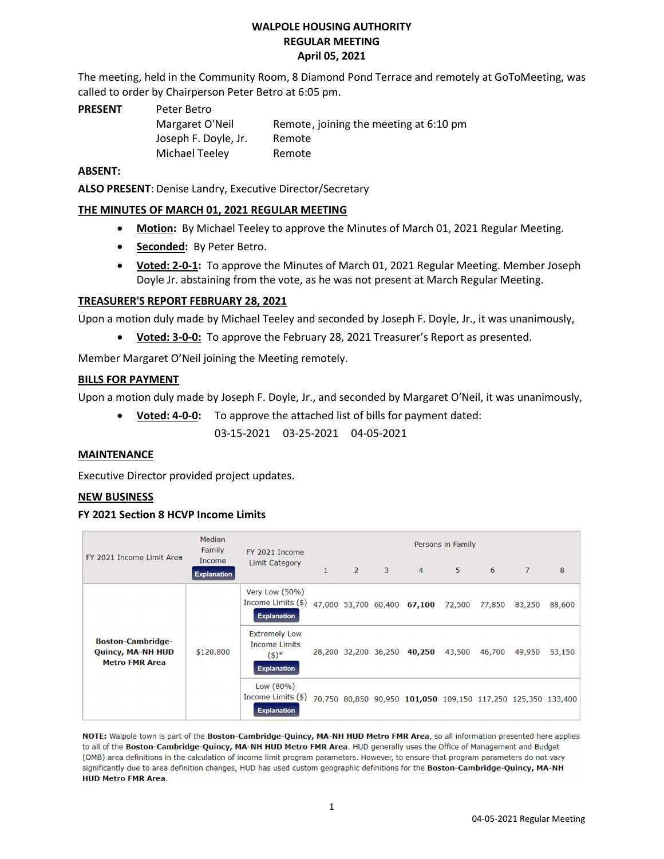#### WALPOLE HOUSING AUTHORITY REGULAR MEETING April 05, 2021

The meeting, held in the Community Room, 8 Diamond Pond Terrace and remotely at GoToMeeting, was called to order by Chairperson Peter Betro at 6:05 pm.

PRESENT Peter Betro Joseph F. Doyle, Jr. Remote Michael Teeley Remote

Margaret O'Neil Remote, joining the meeting at 6:10 pm

#### ABSENT:

ALSO PRESENT: Denise Landry, Executive Director/Secretary

## THE MINUTES OF MARCH 01, 2021 REGULAR MEETING

- Motion: By Michael Teeley to approve the Minutes of March 01, 2021 Regular Meeting.
- Seconded: By Peter Betro.
- Voted: 2-0-1: To approve the Minutes of March 01, 2021 Regular Meeting. Member Joseph Doyle Jr. abstaining from the vote, as he was not present at March Regular Meeting.

## TREASURER'S REPORT FEBRUARY 28, 2021

Upon a motion duly made by Michael Teeley and seconded by Joseph F. Doyle, Jr., it was unanimously,

Voted: 3-0-0: To approve the February 28, 2021 Treasurer's Report as presented.

Member Margaret O'Neil joining the Meeting remotely.

#### BILLS FOR PAYMENT

Upon a motion duly made by Joseph F. Doyle, Jr., and seconded by Margaret O′Neil, it was unanimously,

• Voted: 4-0-0: To approve the attached list of bills for payment dated:

03-15-2021 03-25-2021 04-05-2021

#### MAINTENANCE

Executive Director provided project updates.

#### NEW BUSINESS

#### FY 2021 Section 8 HCVP Income Limits

| FY 2021 Income Limit Area                                                     | Median<br>Family<br>Income<br><b>Explanation</b> | FY 2021 Income<br><b>Limit Category</b>                                                                            | Persons in Family |                |          |                                    |        |        |        |        |
|-------------------------------------------------------------------------------|--------------------------------------------------|--------------------------------------------------------------------------------------------------------------------|-------------------|----------------|----------|------------------------------------|--------|--------|--------|--------|
|                                                                               |                                                  |                                                                                                                    | $\mathbf{1}$      | $\overline{2}$ | $\sim$ 3 | $\overline{4}$                     | 5      | 6      | 7      | 8      |
| <b>Boston-Cambridge-</b><br><b>Quincy, MA-NH HUD</b><br><b>Metro FMR Area</b> | \$120,800                                        | Very Low (50%)<br>Income Limits (\$)<br><b>Explanation</b>                                                         |                   |                |          | 47,000 53,700 60,400 67,100 72,500 |        | 77,850 | 83,250 | 88,600 |
|                                                                               |                                                  | <b>Extremely Low</b><br><b>Income Limits</b><br>$(5)^*$<br><b>Explanation</b>                                      |                   |                |          | 28,200 32,200 36,250 40,250        | 43,500 | 46,700 | 49,950 | 53,150 |
|                                                                               |                                                  | Low (80%)<br>Income Limits (\$) 70,750 80,850 90,950 101,050 109,150 117,250 125,350 133,400<br><b>Explanation</b> |                   |                |          |                                    |        |        |        |        |

NOTE: Walpole town is part of the Boston-Cambridge-Quincy, MA-NH HUD Metro FMR Area, so all information presented here applies to all of the Boston-Cambridge-Quincy, MA-NH HUD Metro FMR Area. HUD generally uses the Office of Management and Budget (OMB) area definitions in the calculation of income limit program parameters. However, to ensure that program parameters do not vary significantly due to area definition changes, HUD has used custom geographic definitions for the Boston-Cambridge-Quincy, MA-NH **HUD Metro FMR Area.**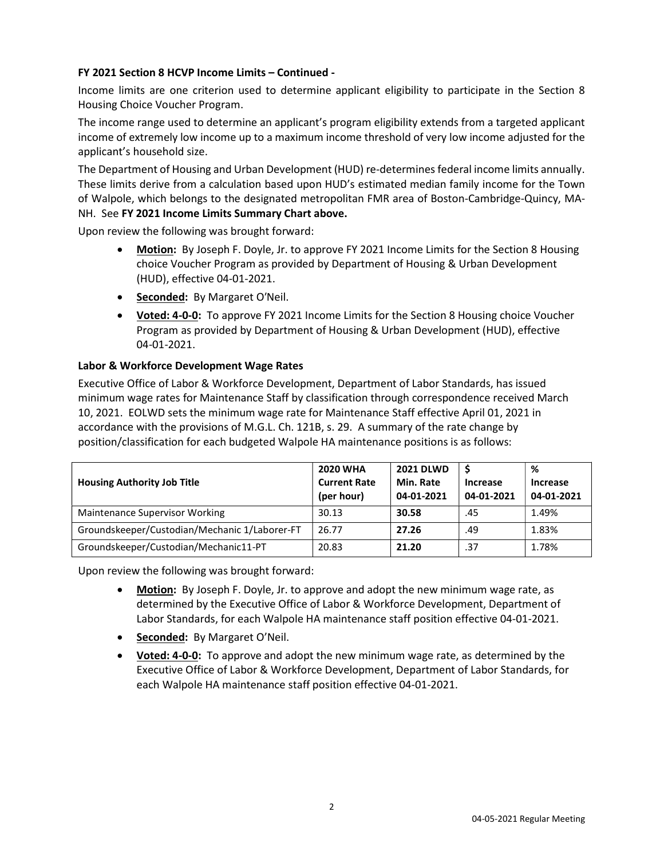#### FY 2021 Section 8 HCVP Income Limits – Continued -

Income limits are one criterion used to determine applicant eligibility to participate in the Section 8 Housing Choice Voucher Program.

The income range used to determine an applicant's program eligibility extends from a targeted applicant income of extremely low income up to a maximum income threshold of very low income adjusted for the applicant's household size.

The Department of Housing and Urban Development (HUD) re-determines federal income limits annually. These limits derive from a calculation based upon HUD's estimated median family income for the Town of Walpole, which belongs to the designated metropolitan FMR area of Boston-Cambridge-Quincy, MA-NH. See FY 2021 Income Limits Summary Chart above.

Upon review the following was brought forward:

- Motion: By Joseph F. Doyle, Jr. to approve FY 2021 Income Limits for the Section 8 Housing choice Voucher Program as provided by Department of Housing & Urban Development (HUD), effective 04-01-2021.
- Seconded: By Margaret O'Neil.
- **Voted: 4-0-0:** To approve FY 2021 Income Limits for the Section 8 Housing choice Voucher Program as provided by Department of Housing & Urban Development (HUD), effective 04-01-2021.

## Labor & Workforce Development Wage Rates

Executive Office of Labor & Workforce Development, Department of Labor Standards, has issued minimum wage rates for Maintenance Staff by classification through correspondence received March 10, 2021. EOLWD sets the minimum wage rate for Maintenance Staff effective April 01, 2021 in accordance with the provisions of M.G.L. Ch. 121B, s. 29. A summary of the rate change by position/classification for each budgeted Walpole HA maintenance positions is as follows:

| <b>Housing Authority Job Title</b>            | <b>2020 WHA</b><br><b>Current Rate</b><br>(per hour) | <b>2021 DLWD</b><br>Min. Rate<br>04-01-2021 | <b>Increase</b><br>04-01-2021 | %<br><b>Increase</b><br>04-01-2021 |
|-----------------------------------------------|------------------------------------------------------|---------------------------------------------|-------------------------------|------------------------------------|
| <b>Maintenance Supervisor Working</b>         | 30.13                                                | 30.58                                       | .45                           | 1.49%                              |
| Groundskeeper/Custodian/Mechanic 1/Laborer-FT | 26.77                                                | 27.26                                       | .49                           | 1.83%                              |
| Groundskeeper/Custodian/Mechanic11-PT         | 20.83                                                | 21.20                                       | .37                           | 1.78%                              |

Upon review the following was brought forward:

- Motion: By Joseph F. Doyle, Jr. to approve and adopt the new minimum wage rate, as determined by the Executive Office of Labor & Workforce Development, Department of Labor Standards, for each Walpole HA maintenance staff position effective 04-01-2021.
- Seconded: By Margaret O'Neil.
- **Voted: 4-0-0:** To approve and adopt the new minimum wage rate, as determined by the Executive Office of Labor & Workforce Development, Department of Labor Standards, for each Walpole HA maintenance staff position effective 04-01-2021.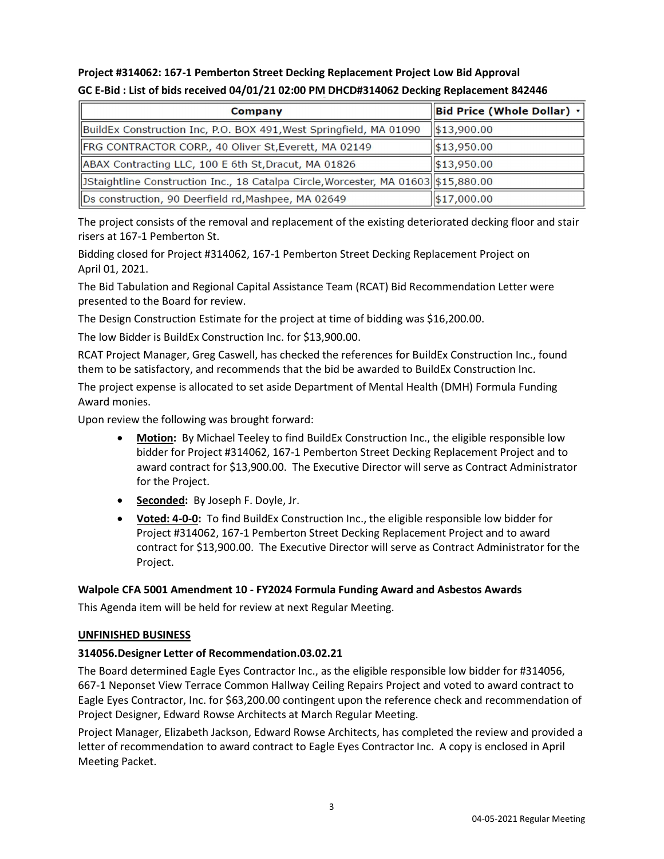# Project #314062: 167-1 Pemberton Street Decking Replacement Project Low Bid Approval GC E-Bid : List of bids received 04/01/21 02:00 PM DHCD#314062 Decking Replacement 842446

| Company                                                                             | Bid Price (Whole Dollar) v |
|-------------------------------------------------------------------------------------|----------------------------|
| BuildEx Construction Inc, P.O. BOX 491, West Springfield, MA 01090                  | $\frac{1}{2}$ \$13,900.00  |
| FRG CONTRACTOR CORP., 40 Oliver St, Everett, MA 02149                               | $\frac{1}{13,950.00}$      |
| ABAX Contracting LLC, 100 E 6th St, Dracut, MA 01826                                | 13,950.00                  |
| JStaightline Construction Inc., 18 Catalpa Circle, Worcester, MA 01603  \$15,880.00 |                            |
| Ds construction, 90 Deerfield rd, Mashpee, MA 02649                                 | $\frac{1}{1}$ \$17,000.00  |

The project consists of the removal and replacement of the existing deteriorated decking floor and stair risers at 167-1 Pemberton St.

Bidding closed for Project #314062, 167-1 Pemberton Street Decking Replacement Project on April 01, 2021.

The Bid Tabulation and Regional Capital Assistance Team (RCAT) Bid Recommendation Letter were presented to the Board for review.

The Design Construction Estimate for the project at time of bidding was \$16,200.00.

The low Bidder is BuildEx Construction Inc. for \$13,900.00.

RCAT Project Manager, Greg Caswell, has checked the references for BuildEx Construction Inc., found them to be satisfactory, and recommends that the bid be awarded to BuildEx Construction Inc.

The project expense is allocated to set aside Department of Mental Health (DMH) Formula Funding Award monies.

Upon review the following was brought forward:

- Motion: By Michael Teeley to find BuildEx Construction Inc., the eligible responsible low bidder for Project #314062, 167-1 Pemberton Street Decking Replacement Project and to award contract for \$13,900.00. The Executive Director will serve as Contract Administrator for the Project.
- Seconded: By Joseph F. Doyle, Jr.
- Voted: 4-0-0: To find BuildEx Construction Inc., the eligible responsible low bidder for Project #314062, 167-1 Pemberton Street Decking Replacement Project and to award contract for \$13,900.00. The Executive Director will serve as Contract Administrator for the Project.

# Walpole CFA 5001 Amendment 10 - FY2024 Formula Funding Award and Asbestos Awards

This Agenda item will be held for review at next Regular Meeting.

#### UNFINISHED BUSINESS

# 314056.Designer Letter of Recommendation.03.02.21

The Board determined Eagle Eyes Contractor Inc., as the eligible responsible low bidder for #314056, 667-1 Neponset View Terrace Common Hallway Ceiling Repairs Project and voted to award contract to Eagle Eyes Contractor, Inc. for \$63,200.00 contingent upon the reference check and recommendation of Project Designer, Edward Rowse Architects at March Regular Meeting.

Project Manager, Elizabeth Jackson, Edward Rowse Architects, has completed the review and provided a letter of recommendation to award contract to Eagle Eyes Contractor Inc. A copy is enclosed in April Meeting Packet.